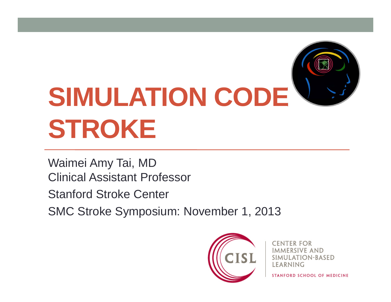# **SIMULATION CODE STROKE**

Waimei Amy Tai, MD Clinical Assistant Professor

Stanford Stroke Center

SMC Stroke Symposium: November 1, 2013



CENTER FOR rsive and ATION-BASED LEARNING

**STANFORD SCHOOL OF MEDICINE**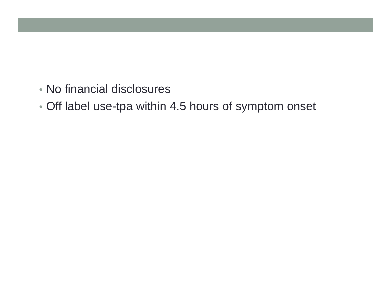- No financial disclosures
- Off label use-tpa within 4.5 hours of symptom onset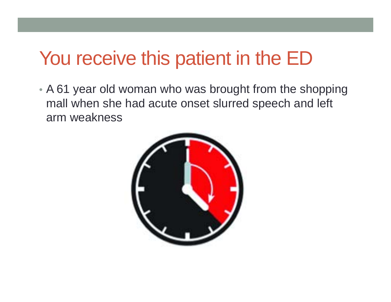## You receive this patient in the ED

• A 61 year old woman who was brought from the shopping mall when she had acute onset slurred speech and left arm weakness

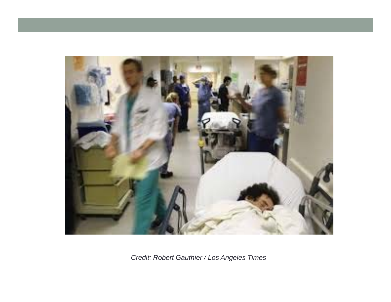

*Credit: Robert Gauthier / Los Angeles Times*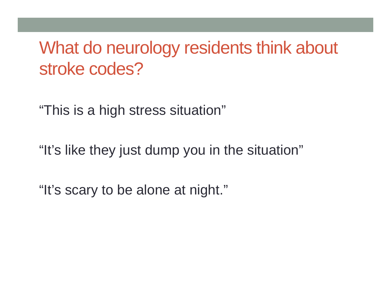What do neurology residents think about stroke codes?

"This is a high stress situation"

"It's like they just dump you in the situation"

"It's scary to be alone at night."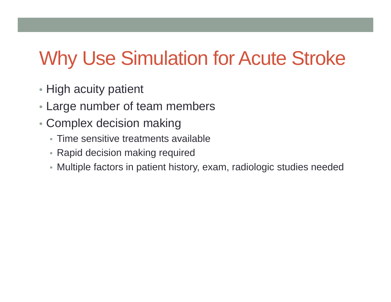# Why Use Simulation for Acute Stroke

- High acuity patient
- Large number of team members
- Complex decision making
	- Time sensitive treatments available
	- Rapid decision making required
	- Multiple factors in patient history, exam, radiologic studies needed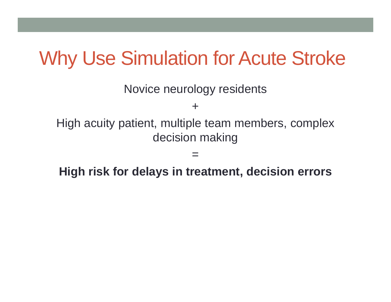## Why Use Simulation for Acute Stroke

Novice neurology residents

+

High acuity patient, multiple team members, complex decision making

**High risk for delays in treatment, decision errors** 

=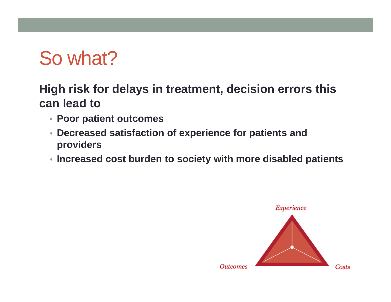# So what?

**High risk for delays in treatment, decision errors this can lead to** 

- **Poor patient outcomes**
- **Decreased satisfaction of experience for patients and providers**
- **Increased cost burden to society with more disabled patients**

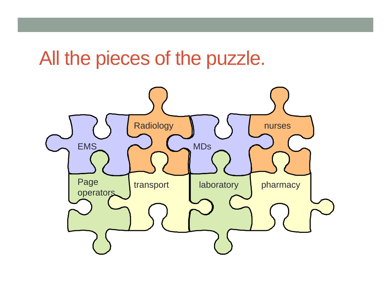#### All the pieces of the puzzle.

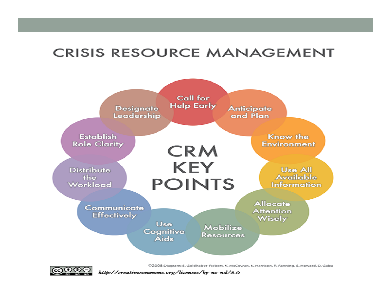#### **CRISIS RESOURCE MANAGEMENT**





http://creativecommons.org/licenses/by-nc-nd/3.0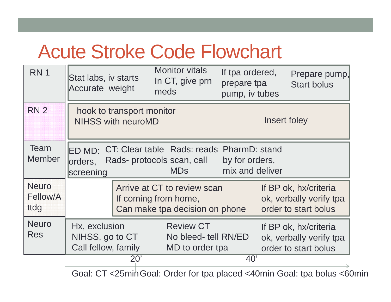# Acute Stroke Code Flowchart

| RN <sub>1</sub>                  | Stat labs, iv starts<br>Accurate weight                 |  | <b>Monitor vitals</b><br>In CT, give prn<br>meds                                      | If tpa ordered,<br>prepare tpa<br>pump, iv tubes |  | Prepare pump,<br><b>Start bolus</b>                                      |  |
|----------------------------------|---------------------------------------------------------|--|---------------------------------------------------------------------------------------|--------------------------------------------------|--|--------------------------------------------------------------------------|--|
| <b>RN2</b>                       | hook to transport monitor<br><b>NIHSS with neuroMD</b>  |  |                                                                                       | Insert foley                                     |  |                                                                          |  |
| Team<br><b>Member</b>            | ED MD:<br>lorders,<br>screening                         |  | CT: Clear table Rads: reads PharmD: stand<br>Rads- protocols scan, call<br><b>MDs</b> | by for orders,<br>mix and deliver                |  |                                                                          |  |
| <b>Neuro</b><br>Fellow/A<br>ttdg |                                                         |  | Arrive at CT to review scan<br>If coming from home,<br>Can make tpa decision on phone |                                                  |  | If BP ok, hx/criteria<br>ok, verbally verify tpa<br>order to start bolus |  |
| <b>Neuro</b><br><b>Res</b>       | Hx, exclusion<br>NIHSS, go to CT<br>Call fellow, family |  | <b>Review CT</b>                                                                      | No bleed- tell RN/ED<br>MD to order tpa          |  | If BP ok, hx/criteria<br>ok, verbally verify tpa<br>order to start bolus |  |
|                                  | <b>20</b>                                               |  |                                                                                       | $40^\circ$                                       |  |                                                                          |  |

Goal: CT <25minGoal: Order for tpa placed <40min Goal: tpa bolus <60min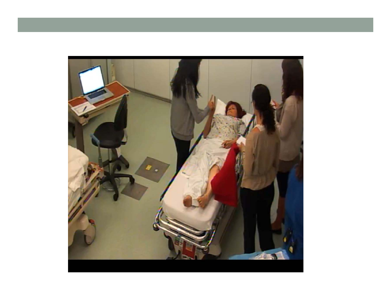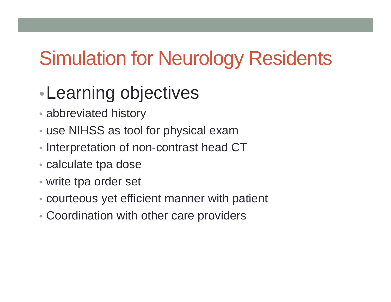# Simulation for Neurology Residents

#### •Learning objectives

- abbreviated history
- use NIHSS as tool for physical exam
- Interpretation of non-contrast head CT
- calculate tpa dose
- write tpa order set
- courteous yet efficient manner with patient
- Coordination with other care providers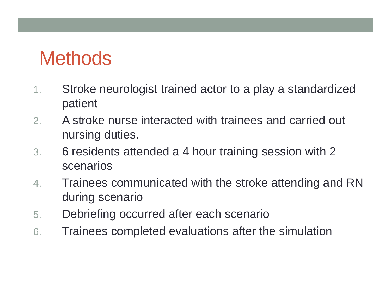#### **Methods**

- 1. Stroke neurologist trained actor to a play a standardized patient
- 2. A stroke nurse interacted with trainees and carried out nursing duties.
- 3. 6 residents attended a 4 hour training session with 2 scenarios
- 4. Trainees communicated with the stroke attending and RN during scenario
- 5. Debriefing occurred after each scenario
- 6. Trainees completed evaluations after the simulation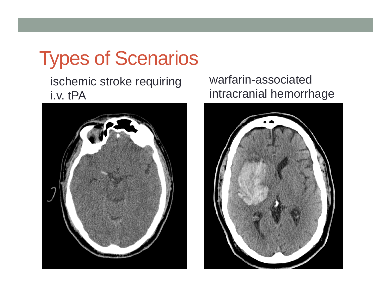#### Types of Scenarios

ischemic stroke requiring i.v. tPA



warfarin-associated intracranial hemorrhage

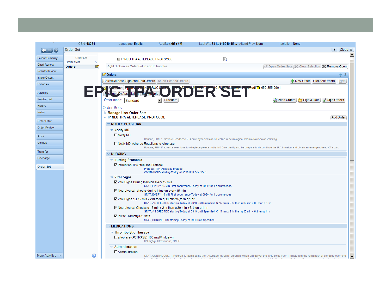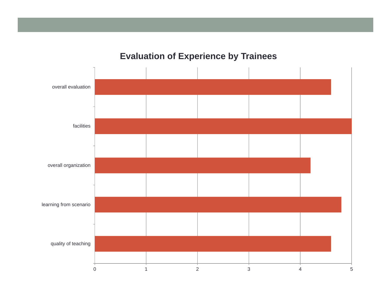#### **Evaluation of Experience by Trainees**

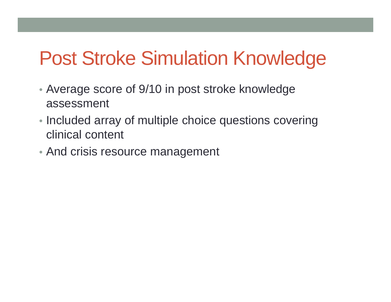# Post Stroke Simulation Knowledge

- Average score of 9/10 in post stroke knowledge assessment
- Included array of multiple choice questions covering clinical content
- And crisis resource management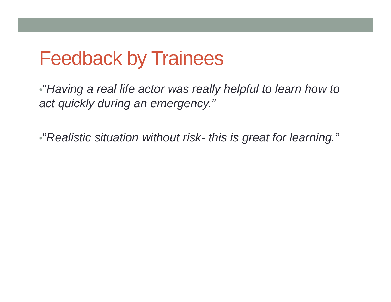#### Feedback by Trainees

• "*Having a real life actor was really helpful to learn how to act quickly during an emergency."*

• "*Realistic situation without risk- this is great for learning."*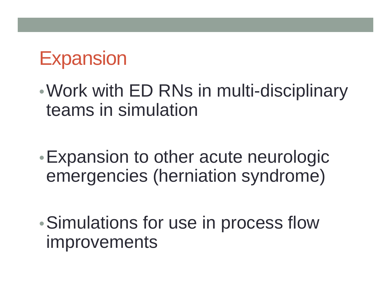#### **Expansion**

- •Work with ED RNs in multi-disciplinary teams in simulation
- •Expansion to other acute neurologic emergencies (herniation syndrome)
- •Simulations for use in process flow improvements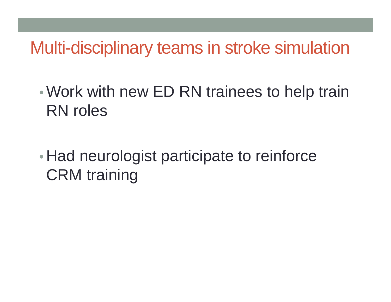#### Multi-disciplinary teams in stroke simulation

- Work with new ED RN trainees to help train RN roles
- $\bullet$  Had neurologist participate to reinforce CRM training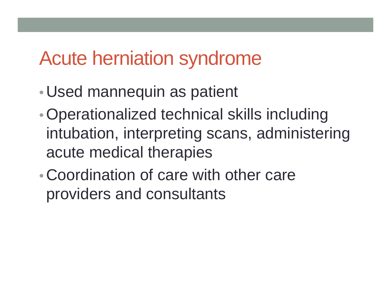## Acute herniation syndrome

- •Used mannequin as patient
- •Operationalized technical skills including intubation, interpreting scans, administering acute medical therapies
- Coordination of care with other care providers and consultants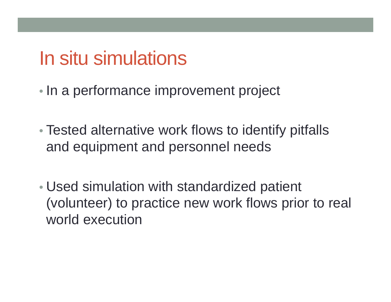## In situ simulations

- •• In a performance improvement project
- • Tested alternative work flows to identify pitfalls and equipment and personnel needs
- Used simulation with standardized patient (volunteer) to practice new work flows prior to real world execution